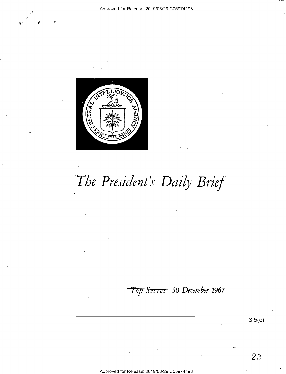



# *The President's Daily Brief*

## *Top Secret* **30** *December* **1967**

**3.5(c)** 

23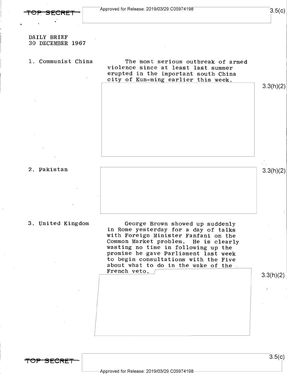$3.5(c)$ 

#### DAILY BRIEF 30 DECEMBER 1967

#### 1. Communist China

The most serious outbreak of armed violence since at least last summer erupted in the important south China city of Kun-ming earlier this week.

3.3(h)(2)

#### 2. Pakistan



#### 3. United Kingdom

George Brown showed up suddenly in Rome yesterday for a day of talks with Foreign Minister Fanfani on the Common Market problem. He is clearly wasting no time in following up the promise he gave Parliament last week to begin consultations with the Five about what to do in the wake of the French veto. /

3.3(h)(2)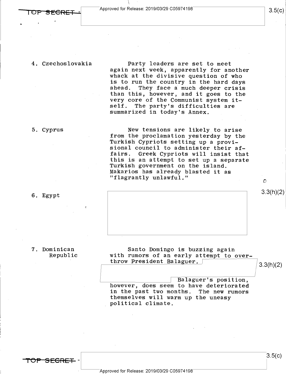#### 4. Czechoslovakia

Party leaders are set to meet again next week, apparently for another whack at the divisive question of who is to run the country in the hard days ahead. They face a much deeper crisis than this, however, and it goes to the very core of the Communist system itself. The party's difficulties are summarized in today's Annex.

#### 5. Cyprus

New tensions are likely to arise from the proclamation yesterday by the Turkish Cypriots setting up a provisional council to administer their affairs. Greek Cypriots will insist that this is an attempt to set up a separate Turkish government on the island. Makarios has already blasted it as "flagrantly unlawful."

6. Egypt

7. Dominican

Republic

Santo Domingo is buzzing again with rumors of an early attempt to overthrow President Balaguer.  $\sqrt{ }$ 

3.3(h)(2)

 $\mathcal{O}$ 

 $3.3(h)(2)$ 

Balaguer's position, however, does seem to have deteriorated in the past two months. The new rumors themselves will warm up the uneasy political climate.

TOP SECRET -

 $3.5(c)$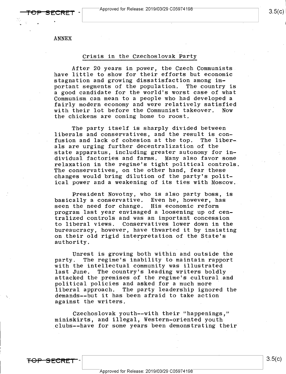ANNEX

#### Crisis in the Czechoslovak Party

After 20 years in power, the Czech Communists have little to show for their efforts but economic stagnation and growing dissatisfaction among important segments of the population. The country is a good candidate for the world's worst case of what Communism can mean to a people who had developed a fairly modern economy and were relatively satisfied<br>with their lot before the Communist takeover. Now with their lot before the Communist takeover. the chickens are coming home to roost.

The party itself is sharply divided between liberals and conservatives, and the result is con-<br>fusion and lack of cohesion at the top. The liberfusion and lack of cohesion at the top. als are urging further decentralization of the state apparatus, including greater autonomy for individual factories and farms. Many also favor some relaxation in the regime's tight political controls. The conservatives, on the other hand, fear these changes would bring dilution of the party's political power and a weakening of its ties with Moscow.

President Novotny, who is also party boss, is basically a conservative. Even he, however, has seen the need for change. His economic reform program last year envisaged a loosening up of centralized controls and was an important concession to liberal views. Conservatives lower down in the bureaucracy, however, have thwarted it by insisting on their old rigid interpretation of the State's authority.

Unrest is growing both within and outside the party. The regime's inability to maintain rapport with the intellectual community was illustrated last June. The country's leading writers boldly attacked the premises of the regime's cultural and political policies and asked for a much more liberal approach. The party leadership ignored the demands--but it has been afraid to take action against the writers.

Czechoslovak youth--with their "happenings," miniskirts, and illegal, Western~oriented youth clubs--have for some years been demonstrating their

**TOP SECRET**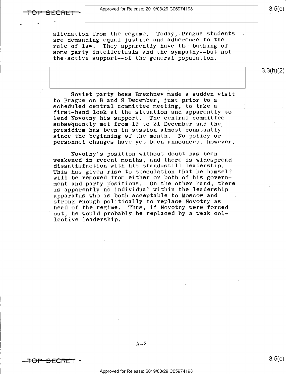alienation from the regime. Today, Prague students are demanding equal justice and adherence to the rule of law. They apparently have the backing of some party intellectuals and the sympathy--but not the active support--of the general population.

Soviet party boss Brezhnev made a sudden visit to Prague on 8 and 9 December, just prior to a scheduled central committee meeting, to take a first-hand look at the situation and apparently to<br>lend Novotny his support. The central committee lend Novotny his support. subsequently met from 19 to 21 December and the presidium has been in session almost constaritly since the beginning of the month. No policy or personnel changes have yet been announced, however.

Novotny's position without doubt has been weakened in recent months, and there is widespread dissatisfaction with his stand-still leadership. This has given rise to speculation that he himself will be removed from either or both of his government and party positions. On the other hand, there is apparently no individual within the leadership apparatus who is both acceptable to Moscow and strong enough politically to replace Novotny as head of the regime. Thus, if Novotny were forced out, he would probably be replaced by a weak collective leadership.

#### $A-2$

<del>SECRET</del> ·

3.3(h)(2)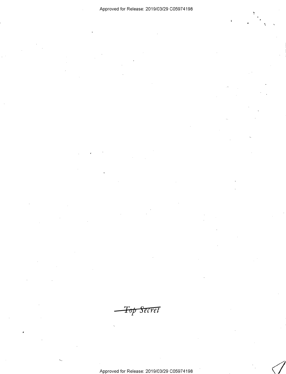*Top Secret*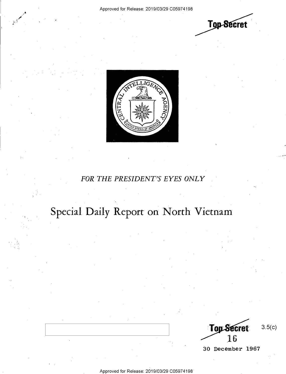,, . . (I/

*I'.* 





### *FOR THE PRESIDENT''S EYES ONLY*

## Special Daily Report on North Vietnam

**Top Secret** 3.5(c) 16

30 December 1967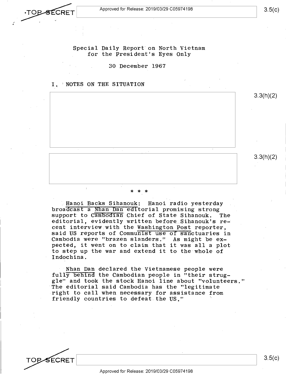Special Daily Report on North Vietnam

for the President's Eyes Only

30 December 1967

#### I. 'NOTES ON THE SITUATION

*l* 

3.3(h)(2) 3.3(h)(2)

## \* \* \*

Hanqi Backs Sihanouk: Hanoi radio yesterday broadcast a Nhan Dan editorial promising strong<br>support to Cambodian Chief of State Sihanouk. The support to Cambodian Chief of State Sihanouk. editorial, evidently written before Sihanouk's recent interview with the Washington Post reporter, said US reports of Communist use of sanctuaries in Cambodia were "brazen slanders." As might be expected, it went on to claim that it was all a plot to step up the war and extend it to the whole of Indochina.

Nhan Dah declared the Vietnamese people were fully behind the Cambodian people in "their struggle" and took the stock Hanoi line about "volunteers." The editorial said Cambodia has the "legitimate right to call when necessary for assistance from friendly countries to defeat. the US."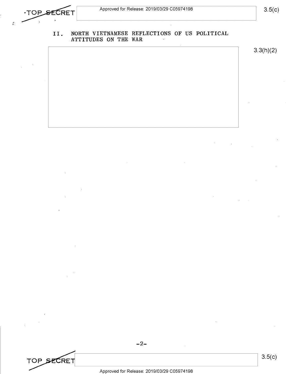$\epsilon$ 

### 3.5(c)

#### II. **NORTH VIETNAMESE REFLECTIONS OF US POLITICAL ATTITUDES ON THE WAR**

3.3(h)(2)

TOP SECRET<br>Approved for Release: 2019/03/29 C05974198 Approved for Release: 2019/03/29 C0597 4198

-2-